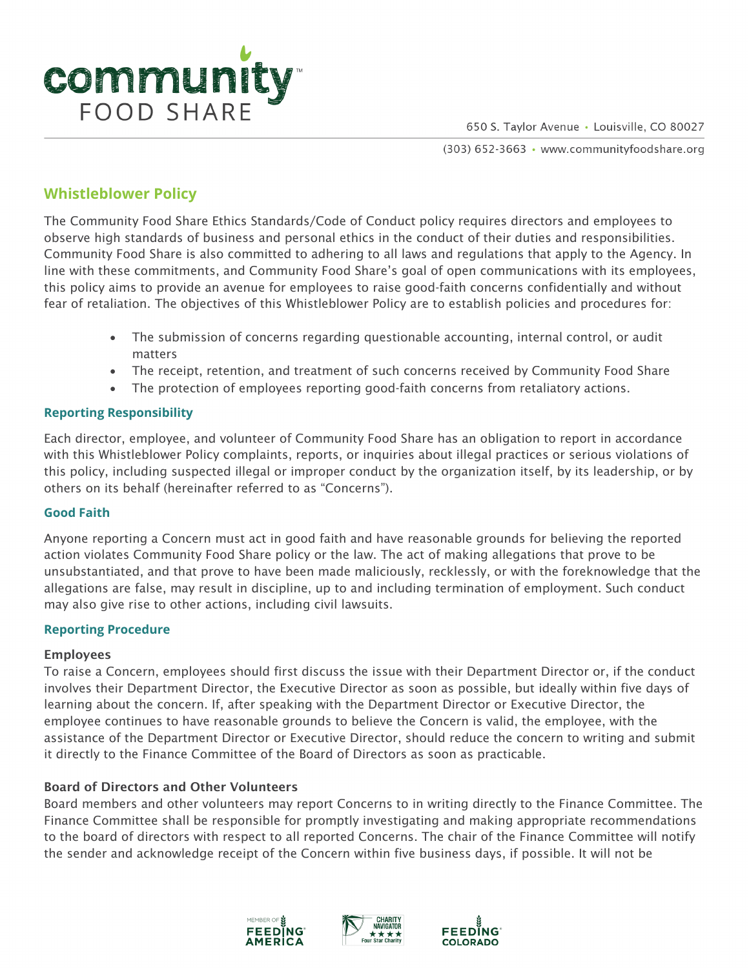

650 S. Taylor Avenue · Louisville, CO 80027

(303) 652-3663 · www.communityfoodshare.org

# **Whistleblower Policy**

The Community Food Share Ethics Standards/Code of Conduct policy requires directors and employees to observe high standards of business and personal ethics in the conduct of their duties and responsibilities. Community Food Share is also committed to adhering to all laws and regulations that apply to the Agency. In line with these commitments, and Community Food Share's goal of open communications with its employees, this policy aims to provide an avenue for employees to raise good-faith concerns confidentially and without fear of retaliation. The objectives of this Whistleblower Policy are to establish policies and procedures for:

- The submission of concerns regarding questionable accounting, internal control, or audit matters
- The receipt, retention, and treatment of such concerns received by Community Food Share
- The protection of employees reporting good-faith concerns from retaliatory actions.

### **Reporting Responsibility**

Each director, employee, and volunteer of Community Food Share has an obligation to report in accordance with this Whistleblower Policy complaints, reports, or inquiries about illegal practices or serious violations of this policy, including suspected illegal or improper conduct by the organization itself, by its leadership, or by others on its behalf (hereinafter referred to as "Concerns").

#### **Good Faith**

Anyone reporting a Concern must act in good faith and have reasonable grounds for believing the reported action violates Community Food Share policy or the law. The act of making allegations that prove to be unsubstantiated, and that prove to have been made maliciously, recklessly, or with the foreknowledge that the allegations are false, may result in discipline, up to and including termination of employment. Such conduct may also give rise to other actions, including civil lawsuits.

#### **Reporting Procedure**

#### Employees

To raise a Concern, employees should first discuss the issue with their Department Director or, if the conduct involves their Department Director, the Executive Director as soon as possible, but ideally within five days of learning about the concern. If, after speaking with the Department Director or Executive Director, the employee continues to have reasonable grounds to believe the Concern is valid, the employee, with the assistance of the Department Director or Executive Director, should reduce the concern to writing and submit it directly to the Finance Committee of the Board of Directors as soon as practicable.

#### Board of Directors and Other Volunteers

Board members and other volunteers may report Concerns to in writing directly to the Finance Committee. The Finance Committee shall be responsible for promptly investigating and making appropriate recommendations to the board of directors with respect to all reported Concerns. The chair of the Finance Committee will notify the sender and acknowledge receipt of the Concern within five business days, if possible. It will not be